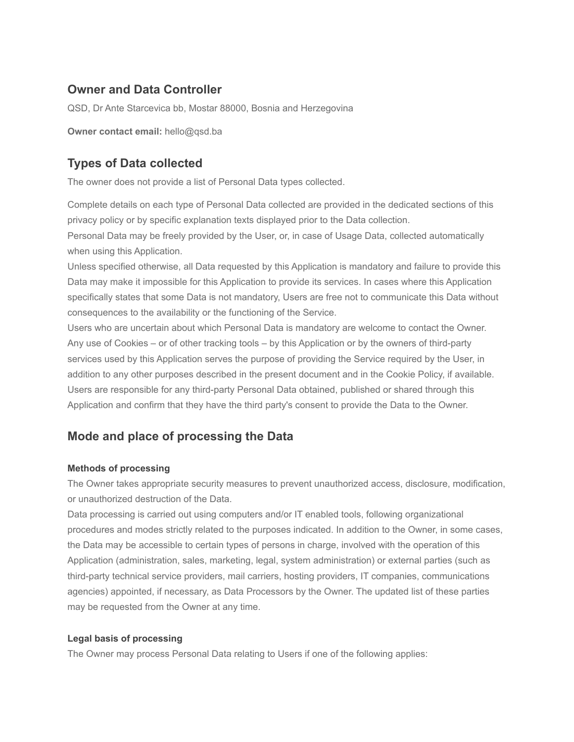## **Owner and Data Controller**

QSD, Dr Ante Starcevica bb, Mostar 88000, Bosnia and Herzegovina

**Owner contact email:** [hello@qsd.ba](mailto:hello@qsd.ba)

# **Types of Data collected**

The owner does not provide a list of Personal Data types collected.

Complete details on each type of Personal Data collected are provided in the dedicated sections of this privacy policy or by specific explanation texts displayed prior to the Data collection. Personal Data may be freely provided by the User, or, in case of Usage Data, collected automatically when using this Application.

Unless specified otherwise, all Data requested by this Application is mandatory and failure to provide this Data may make it impossible for this Application to provide its services. In cases where this Application specifically states that some Data is not mandatory, Users are free not to communicate this Data without consequences to the availability or the functioning of the Service.

Users who are uncertain about which Personal Data is mandatory are welcome to contact the Owner. Any use of Cookies – or of other tracking tools – by this Application or by the owners of third-party services used by this Application serves the purpose of providing the Service required by the User, in addition to any other purposes described in the present document and in the Cookie Policy, if available. Users are responsible for any third-party Personal Data obtained, published or shared through this Application and confirm that they have the third party's consent to provide the Data to the Owner.

## **Mode and place of processing the Data**

### **Methods of processing**

The Owner takes appropriate security measures to prevent unauthorized access, disclosure, modification, or unauthorized destruction of the Data.

Data processing is carried out using computers and/or IT enabled tools, following organizational procedures and modes strictly related to the purposes indicated. In addition to the Owner, in some cases, the Data may be accessible to certain types of persons in charge, involved with the operation of this Application (administration, sales, marketing, legal, system administration) or external parties (such as third-party technical service providers, mail carriers, hosting providers, IT companies, communications agencies) appointed, if necessary, as Data Processors by the Owner. The updated list of these parties may be requested from the Owner at any time.

### **Legal basis of processing**

The Owner may process Personal Data relating to Users if one of the following applies: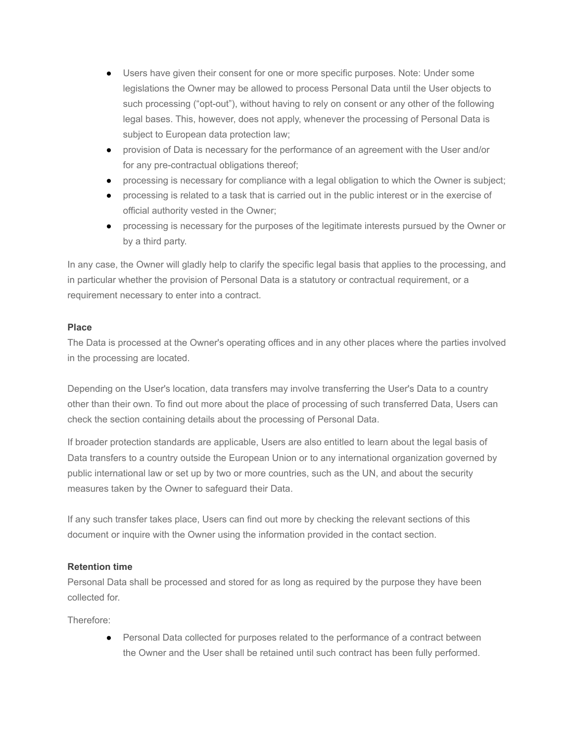- Users have given their consent for one or more specific purposes. Note: Under some legislations the Owner may be allowed to process Personal Data until the User objects to such processing ("opt-out"), without having to rely on consent or any other of the following legal bases. This, however, does not apply, whenever the processing of Personal Data is subject to European data protection law;
- provision of Data is necessary for the performance of an agreement with the User and/or for any pre-contractual obligations thereof;
- processing is necessary for compliance with a legal obligation to which the Owner is subject;
- processing is related to a task that is carried out in the public interest or in the exercise of official authority vested in the Owner;
- processing is necessary for the purposes of the legitimate interests pursued by the Owner or by a third party.

In any case, the Owner will gladly help to clarify the specific legal basis that applies to the processing, and in particular whether the provision of Personal Data is a statutory or contractual requirement, or a requirement necessary to enter into a contract.

### **Place**

The Data is processed at the Owner's operating offices and in any other places where the parties involved in the processing are located.

Depending on the User's location, data transfers may involve transferring the User's Data to a country other than their own. To find out more about the place of processing of such transferred Data, Users can check the section containing details about the processing of Personal Data.

If broader protection standards are applicable, Users are also entitled to learn about the legal basis of Data transfers to a country outside the European Union or to any international organization governed by public international law or set up by two or more countries, such as the UN, and about the security measures taken by the Owner to safeguard their Data.

If any such transfer takes place, Users can find out more by checking the relevant sections of this document or inquire with the Owner using the information provided in the contact section.

### **Retention time**

Personal Data shall be processed and stored for as long as required by the purpose they have been collected for.

Therefore:

● Personal Data collected for purposes related to the performance of a contract between the Owner and the User shall be retained until such contract has been fully performed.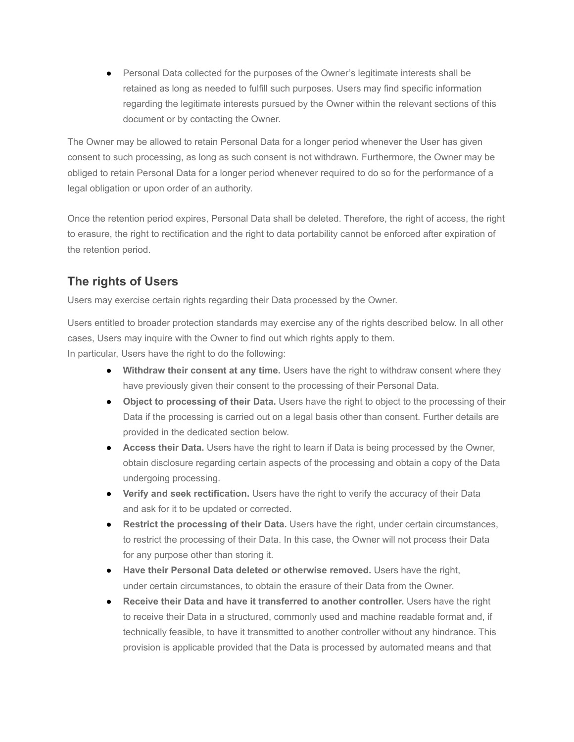● Personal Data collected for the purposes of the Owner's legitimate interests shall be retained as long as needed to fulfill such purposes. Users may find specific information regarding the legitimate interests pursued by the Owner within the relevant sections of this document or by contacting the Owner.

The Owner may be allowed to retain Personal Data for a longer period whenever the User has given consent to such processing, as long as such consent is not withdrawn. Furthermore, the Owner may be obliged to retain Personal Data for a longer period whenever required to do so for the performance of a legal obligation or upon order of an authority.

Once the retention period expires, Personal Data shall be deleted. Therefore, the right of access, the right to erasure, the right to rectification and the right to data portability cannot be enforced after expiration of the retention period.

# **The rights of Users**

Users may exercise certain rights regarding their Data processed by the Owner.

Users entitled to broader protection standards may exercise any of the rights described below. In all other cases, Users may inquire with the Owner to find out which rights apply to them. In particular, Users have the right to do the following:

● **Withdraw their consent at any time.** Users have the right to withdraw consent where they have previously given their consent to the processing of their Personal Data.

- **Object to processing of their Data.** Users have the right to object to the processing of their Data if the processing is carried out on a legal basis other than consent. Further details are provided in the dedicated section below.
- **Access their Data.** Users have the right to learn if Data is being processed by the Owner, obtain disclosure regarding certain aspects of the processing and obtain a copy of the Data undergoing processing.
- **Verify and seek rectification.** Users have the right to verify the accuracy of their Data and ask for it to be updated or corrected.
- **Restrict the processing of their Data.** Users have the right, under certain circumstances, to restrict the processing of their Data. In this case, the Owner will not process their Data for any purpose other than storing it.
- **Have their Personal Data deleted or otherwise removed.** Users have the right, under certain circumstances, to obtain the erasure of their Data from the Owner.
- **Receive their Data and have it transferred to another controller.** Users have the right to receive their Data in a structured, commonly used and machine readable format and, if technically feasible, to have it transmitted to another controller without any hindrance. This provision is applicable provided that the Data is processed by automated means and that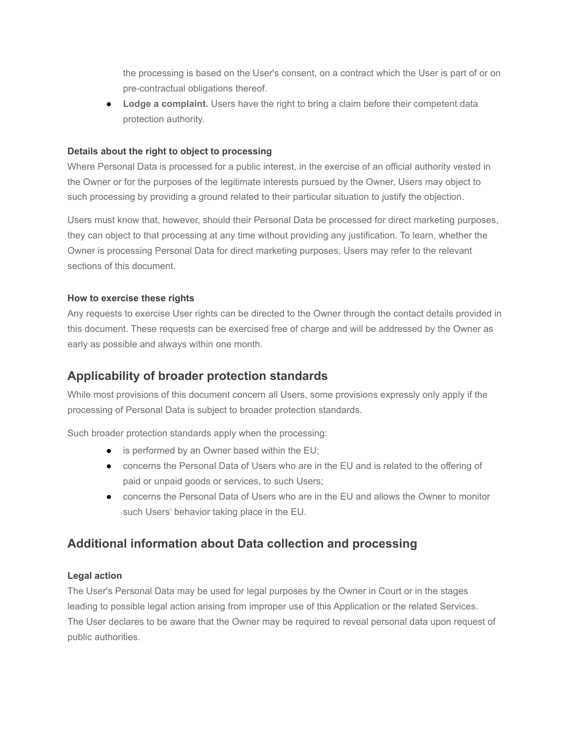the processing is based on the User's consent, on a contract which the User is part of or on pre-contractual obligations thereof.

● **Lodge a complaint.** Users have the right to bring a claim before their competent data protection authority.

### **Details about the right to object to processing**

Where Personal Data is processed for a public interest, in the exercise of an official authority vested in the Owner or for the purposes of the legitimate interests pursued by the Owner, Users may object to such processing by providing a ground related to their particular situation to justify the objection.

Users must know that, however, should their Personal Data be processed for direct marketing purposes, they can object to that processing at any time without providing any justification. To learn, whether the Owner is processing Personal Data for direct marketing purposes, Users may refer to the relevant sections of this document.

### **How to exercise these rights**

Any requests to exercise User rights can be directed to the Owner through the contact details provided in this document. These requests can be exercised free of charge and will be addressed by the Owner as early as possible and always within one month.

## **Applicability of broader protection standards**

While most provisions of this document concern all Users, some provisions expressly only apply if the processing of Personal Data is subject to broader protection standards.

Such broader protection standards apply when the processing:

- $\bullet$  is performed by an Owner based within the EU;
- concerns the Personal Data of Users who are in the EU and is related to the offering of paid or unpaid goods or services, to such Users;
- concerns the Personal Data of Users who are in the EU and allows the Owner to monitor such Users' behavior taking place in the EU.

## **Additional information about Data collection and processing**

### **Legal action**

The User's Personal Data may be used for legal purposes by the Owner in Court or in the stages leading to possible legal action arising from improper use of this Application or the related Services. The User declares to be aware that the Owner may be required to reveal personal data upon request of public authorities.